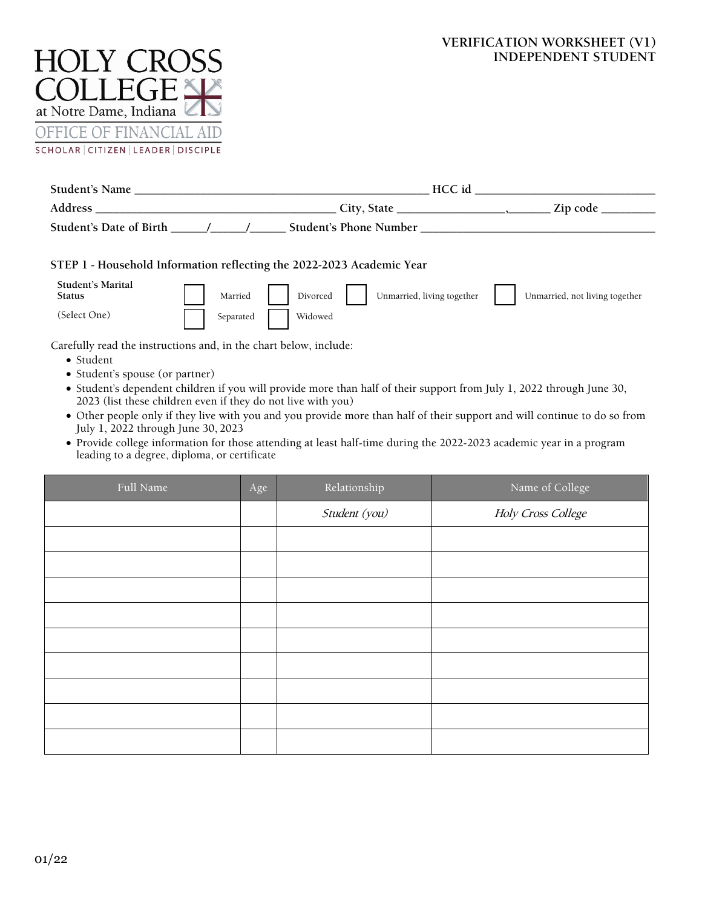# **VERIFICATION WORKSHEET (V1) INDEPENDENT STUDENT**



|                                                                                                                                                                                                                                                                                                                                                                                                                                                                                                                                                                                                                                                               | HCC id                                            |                                |  |  |
|---------------------------------------------------------------------------------------------------------------------------------------------------------------------------------------------------------------------------------------------------------------------------------------------------------------------------------------------------------------------------------------------------------------------------------------------------------------------------------------------------------------------------------------------------------------------------------------------------------------------------------------------------------------|---------------------------------------------------|--------------------------------|--|--|
|                                                                                                                                                                                                                                                                                                                                                                                                                                                                                                                                                                                                                                                               |                                                   |                                |  |  |
|                                                                                                                                                                                                                                                                                                                                                                                                                                                                                                                                                                                                                                                               |                                                   |                                |  |  |
| STEP 1 - Household Information reflecting the 2022-2023 Academic Year<br>Student's Marital<br>Married<br><b>Status</b><br>(Select One)<br>Separated                                                                                                                                                                                                                                                                                                                                                                                                                                                                                                           | Unmarried, living together<br>Divorced<br>Widowed | Unmarried, not living together |  |  |
| Carefully read the instructions and, in the chart below, include:<br>$\bullet$ Student<br>• Student's spouse (or partner)<br>• Student's dependent children if you will provide more than half of their support from July 1, 2022 through June 30,<br>2023 (list these children even if they do not live with you)<br>• Other people only if they live with you and you provide more than half of their support and will continue to do so from<br>July 1, 2022 through June 30, 2023<br>• Provide college information for those attending at least half-time during the 2022-2023 academic year in a program<br>leading to a degree, diploma, or certificate |                                                   |                                |  |  |

| Full Name | Age | Relationship  | Name of College    |
|-----------|-----|---------------|--------------------|
|           |     | Student (you) | Holy Cross College |
|           |     |               |                    |
|           |     |               |                    |
|           |     |               |                    |
|           |     |               |                    |
|           |     |               |                    |
|           |     |               |                    |
|           |     |               |                    |
|           |     |               |                    |
|           |     |               |                    |